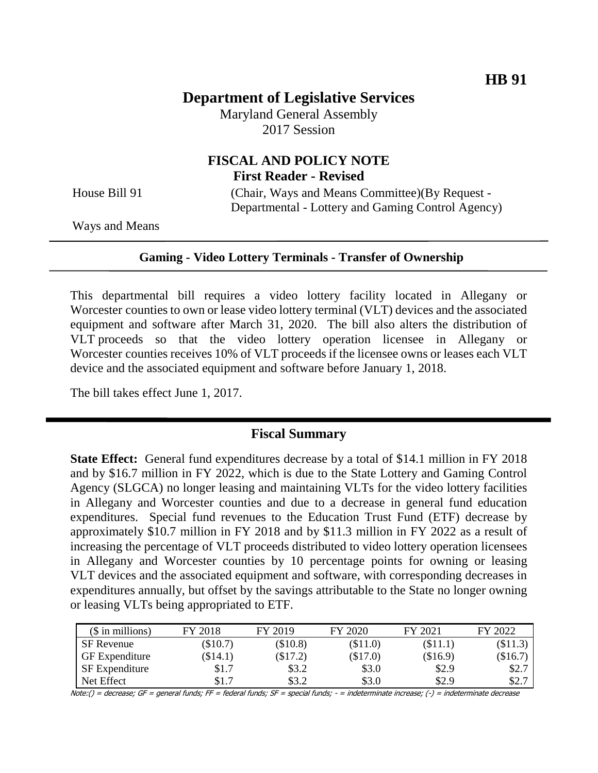# **Department of Legislative Services**

Maryland General Assembly 2017 Session

## **FISCAL AND POLICY NOTE First Reader - Revised**

House Bill 91 (Chair, Ways and Means Committee)(By Request -Departmental - Lottery and Gaming Control Agency)

Ways and Means

#### **Gaming - Video Lottery Terminals - Transfer of Ownership**

This departmental bill requires a video lottery facility located in Allegany or Worcester counties to own or lease video lottery terminal (VLT) devices and the associated equipment and software after March 31, 2020. The bill also alters the distribution of VLT proceeds so that the video lottery operation licensee in Allegany or Worcester counties receives 10% of VLT proceeds if the licensee owns or leases each VLT device and the associated equipment and software before January 1, 2018.

The bill takes effect June 1, 2017.

### **Fiscal Summary**

**State Effect:** General fund expenditures decrease by a total of \$14.1 million in FY 2018 and by \$16.7 million in FY 2022, which is due to the State Lottery and Gaming Control Agency (SLGCA) no longer leasing and maintaining VLTs for the video lottery facilities in Allegany and Worcester counties and due to a decrease in general fund education expenditures. Special fund revenues to the Education Trust Fund (ETF) decrease by approximately \$10.7 million in FY 2018 and by \$11.3 million in FY 2022 as a result of increasing the percentage of VLT proceeds distributed to video lottery operation licensees in Allegany and Worcester counties by 10 percentage points for owning or leasing VLT devices and the associated equipment and software, with corresponding decreases in expenditures annually, but offset by the savings attributable to the State no longer owning or leasing VLTs being appropriated to ETF.

| $($$ in millions)     | FY 2018    | FY 2019    | FY 2020  | FY 2021  | FY 2022 |
|-----------------------|------------|------------|----------|----------|---------|
| <b>SF</b> Revenue     | $(\$10.7)$ | (\$10.8)   | (\$11.0) | (\$11.1) | \$11.3  |
| <b>GF</b> Expenditure | (\$14.1)   | $(\$17.2)$ | (\$17.0) | (\$16.9) | \$16.7  |
| <b>SF</b> Expenditure | \$1.7      | \$3.2      | \$3.0    | \$2.9    | \$2.7   |
| Net Effect            | \$1.7      | \$3.2      | \$3.0    | \$2.9    | \$2.7   |

Note:() = decrease; GF = general funds; FF = federal funds; SF = special funds; - = indeterminate increase; (-) = indeterminate decrease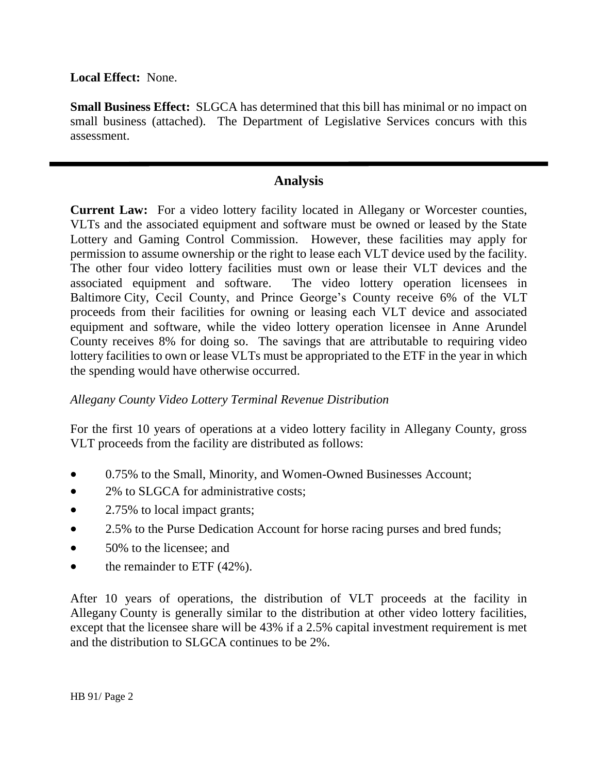**Local Effect:** None.

**Small Business Effect:** SLGCA has determined that this bill has minimal or no impact on small business (attached). The Department of Legislative Services concurs with this assessment.

### **Analysis**

**Current Law:** For a video lottery facility located in Allegany or Worcester counties, VLTs and the associated equipment and software must be owned or leased by the State Lottery and Gaming Control Commission. However, these facilities may apply for permission to assume ownership or the right to lease each VLT device used by the facility. The other four video lottery facilities must own or lease their VLT devices and the associated equipment and software. The video lottery operation licensees in Baltimore City, Cecil County, and Prince George's County receive 6% of the VLT proceeds from their facilities for owning or leasing each VLT device and associated equipment and software, while the video lottery operation licensee in Anne Arundel County receives 8% for doing so. The savings that are attributable to requiring video lottery facilities to own or lease VLTs must be appropriated to the ETF in the year in which the spending would have otherwise occurred.

### *Allegany County Video Lottery Terminal Revenue Distribution*

For the first 10 years of operations at a video lottery facility in Allegany County, gross VLT proceeds from the facility are distributed as follows:

- 0.75% to the Small, Minority, and Women-Owned Businesses Account;
- 2% to SLGCA for administrative costs;
- 2.75% to local impact grants;
- 2.5% to the Purse Dedication Account for horse racing purses and bred funds;
- 50% to the licensee; and
- $\bullet$  the remainder to ETF (42%).

After 10 years of operations, the distribution of VLT proceeds at the facility in Allegany County is generally similar to the distribution at other video lottery facilities, except that the licensee share will be 43% if a 2.5% capital investment requirement is met and the distribution to SLGCA continues to be 2%.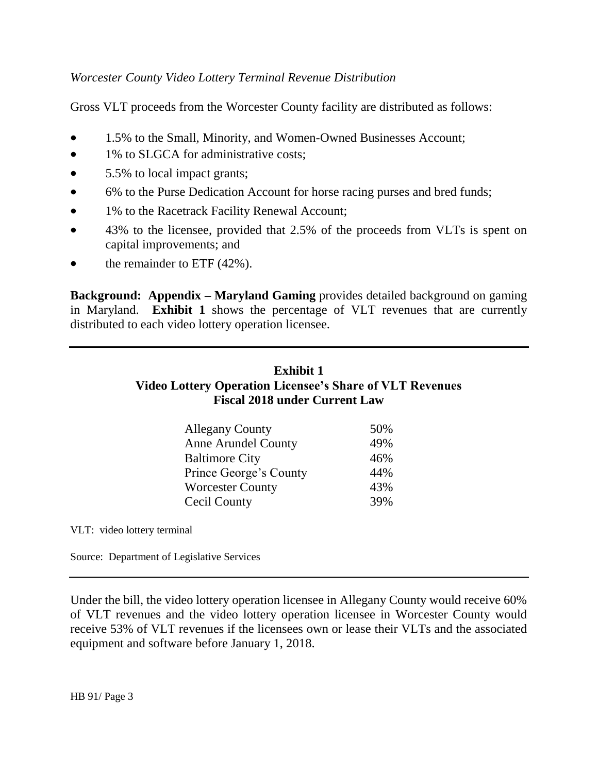### *Worcester County Video Lottery Terminal Revenue Distribution*

Gross VLT proceeds from the Worcester County facility are distributed as follows:

- 1.5% to the Small, Minority, and Women-Owned Businesses Account;
- 1% to SLGCA for administrative costs;
- 5.5% to local impact grants;
- 6% to the Purse Dedication Account for horse racing purses and bred funds;
- 1% to the Racetrack Facility Renewal Account;
- 43% to the licensee, provided that 2.5% of the proceeds from VLTs is spent on capital improvements; and
- $\bullet$  the remainder to ETF (42%).

**Background: Appendix – Maryland Gaming** provides detailed background on gaming in Maryland. **Exhibit 1** shows the percentage of VLT revenues that are currently distributed to each video lottery operation licensee.

## **Exhibit 1 Video Lottery Operation Licensee's Share of VLT Revenues Fiscal 2018 under Current Law**

| <b>Allegany County</b>     | 50% |
|----------------------------|-----|
| <b>Anne Arundel County</b> | 49% |
| <b>Baltimore City</b>      | 46% |
| Prince George's County     | 44% |
| <b>Worcester County</b>    | 43% |
| Cecil County               | 39% |

VLT: video lottery terminal

Source: Department of Legislative Services

Under the bill, the video lottery operation licensee in Allegany County would receive 60% of VLT revenues and the video lottery operation licensee in Worcester County would receive 53% of VLT revenues if the licensees own or lease their VLTs and the associated equipment and software before January 1, 2018.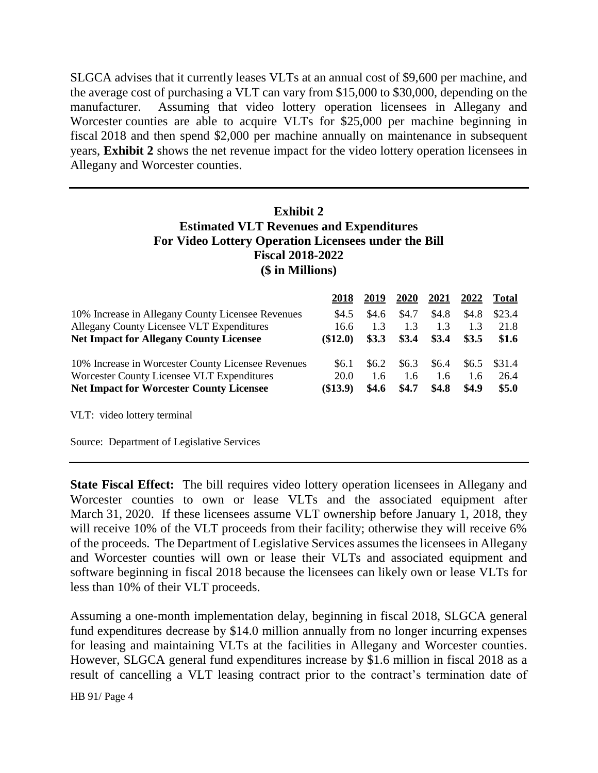SLGCA advises that it currently leases VLTs at an annual cost of \$9,600 per machine, and the average cost of purchasing a VLT can vary from \$15,000 to \$30,000, depending on the manufacturer. Assuming that video lottery operation licensees in Allegany and Worcester counties are able to acquire VLTs for \$25,000 per machine beginning in fiscal 2018 and then spend \$2,000 per machine annually on maintenance in subsequent years, **Exhibit 2** shows the net revenue impact for the video lottery operation licensees in Allegany and Worcester counties.

### **Exhibit 2 Estimated VLT Revenues and Expenditures For Video Lottery Operation Licensees under the Bill Fiscal 2018-2022 (\$ in Millions)**

|                                                    | 2018       | 2019  | 2020  | 2021  | 2022  | <b>Total</b> |
|----------------------------------------------------|------------|-------|-------|-------|-------|--------------|
| 10% Increase in Allegany County Licensee Revenues  | \$4.5      | \$4.6 | \$4.7 | \$4.8 | \$4.8 | \$23.4       |
| Allegany County Licensee VLT Expenditures          | 16.6       | 1.3   | 1.3   | 1.3   | 1.3   | 21.8         |
| <b>Net Impact for Allegany County Licensee</b>     | $\$12.0)$  | \$3.3 | \$3.4 | \$3.4 | \$3.5 | \$1.6        |
| 10% Increase in Worcester County Licensee Revenues | \$6.1      | \$6.2 | \$6.3 | \$6.4 | \$6.5 | \$31.4       |
| Worcester County Licensee VLT Expenditures         | 20.0       | 1.6   | 1.6   | 1.6   | 1.6   | 26.4         |
| <b>Net Impact for Worcester County Licensee</b>    | $(\$13.9)$ | \$4.6 | \$4.7 | \$4.8 | \$4.9 | \$5.0        |
| VLT: video lottery terminal                        |            |       |       |       |       |              |

Source: Department of Legislative Services

**State Fiscal Effect:** The bill requires video lottery operation licensees in Allegany and Worcester counties to own or lease VLTs and the associated equipment after March 31, 2020. If these licensees assume VLT ownership before January 1, 2018, they will receive 10% of the VLT proceeds from their facility; otherwise they will receive 6% of the proceeds. The Department of Legislative Services assumes the licensees in Allegany and Worcester counties will own or lease their VLTs and associated equipment and software beginning in fiscal 2018 because the licensees can likely own or lease VLTs for less than 10% of their VLT proceeds.

Assuming a one-month implementation delay, beginning in fiscal 2018, SLGCA general fund expenditures decrease by \$14.0 million annually from no longer incurring expenses for leasing and maintaining VLTs at the facilities in Allegany and Worcester counties. However, SLGCA general fund expenditures increase by \$1.6 million in fiscal 2018 as a result of cancelling a VLT leasing contract prior to the contract's termination date of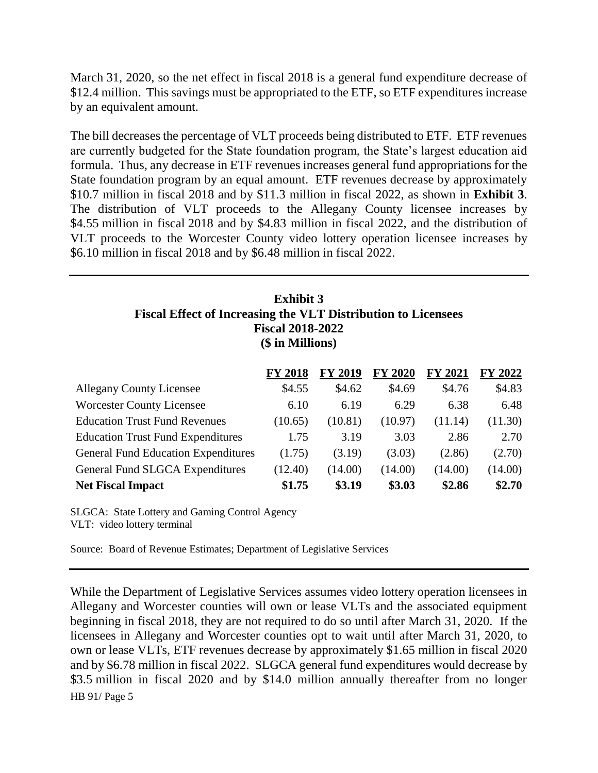March 31, 2020, so the net effect in fiscal 2018 is a general fund expenditure decrease of \$12.4 million. This savings must be appropriated to the ETF, so ETF expenditures increase by an equivalent amount.

The bill decreases the percentage of VLT proceeds being distributed to ETF. ETF revenues are currently budgeted for the State foundation program, the State's largest education aid formula. Thus, any decrease in ETF revenues increases general fund appropriations for the State foundation program by an equal amount. ETF revenues decrease by approximately \$10.7 million in fiscal 2018 and by \$11.3 million in fiscal 2022, as shown in **Exhibit 3**. The distribution of VLT proceeds to the Allegany County licensee increases by \$4.55 million in fiscal 2018 and by \$4.83 million in fiscal 2022, and the distribution of VLT proceeds to the Worcester County video lottery operation licensee increases by \$6.10 million in fiscal 2018 and by \$6.48 million in fiscal 2022.

### **Exhibit 3 Fiscal Effect of Increasing the VLT Distribution to Licensees Fiscal 2018-2022 (\$ in Millions)**

|                                            | <b>FY 2018</b> | <b>FY 2019</b> | <b>FY 2020</b> | FY 2021 | FY 2022 |
|--------------------------------------------|----------------|----------------|----------------|---------|---------|
| <b>Allegany County Licensee</b>            | \$4.55         | \$4.62         | \$4.69         | \$4.76  | \$4.83  |
| <b>Worcester County Licensee</b>           | 6.10           | 6.19           | 6.29           | 6.38    | 6.48    |
| <b>Education Trust Fund Revenues</b>       | (10.65)        | (10.81)        | (10.97)        | (11.14) | (11.30) |
| <b>Education Trust Fund Expenditures</b>   | 1.75           | 3.19           | 3.03           | 2.86    | 2.70    |
| <b>General Fund Education Expenditures</b> | (1.75)         | (3.19)         | (3.03)         | (2.86)  | (2.70)  |
| General Fund SLGCA Expenditures            | (12.40)        | (14.00)        | (14.00)        | (14.00) | (14.00) |
| <b>Net Fiscal Impact</b>                   | \$1.75         | \$3.19         | \$3.03         | \$2.86  | \$2.70  |

SLGCA: State Lottery and Gaming Control Agency VLT: video lottery terminal

Source: Board of Revenue Estimates; Department of Legislative Services

HB 91/ Page 5 While the Department of Legislative Services assumes video lottery operation licensees in Allegany and Worcester counties will own or lease VLTs and the associated equipment beginning in fiscal 2018, they are not required to do so until after March 31, 2020. If the licensees in Allegany and Worcester counties opt to wait until after March 31, 2020, to own or lease VLTs, ETF revenues decrease by approximately \$1.65 million in fiscal 2020 and by \$6.78 million in fiscal 2022. SLGCA general fund expenditures would decrease by \$3.5 million in fiscal 2020 and by \$14.0 million annually thereafter from no longer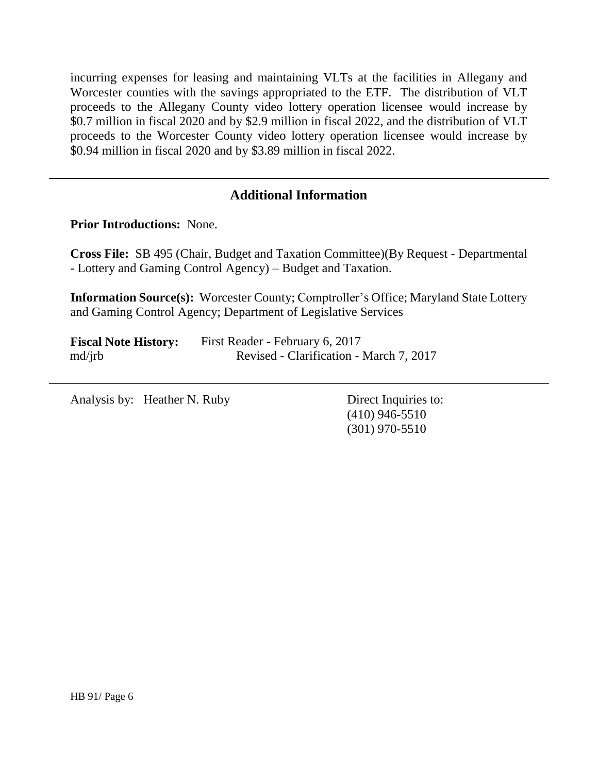incurring expenses for leasing and maintaining VLTs at the facilities in Allegany and Worcester counties with the savings appropriated to the ETF. The distribution of VLT proceeds to the Allegany County video lottery operation licensee would increase by \$0.7 million in fiscal 2020 and by \$2.9 million in fiscal 2022, and the distribution of VLT proceeds to the Worcester County video lottery operation licensee would increase by \$0.94 million in fiscal 2020 and by \$3.89 million in fiscal 2022.

## **Additional Information**

**Prior Introductions:** None.

**Cross File:** SB 495 (Chair, Budget and Taxation Committee)(By Request - Departmental - Lottery and Gaming Control Agency) – Budget and Taxation.

**Information Source(s):** Worcester County; Comptroller's Office; Maryland State Lottery and Gaming Control Agency; Department of Legislative Services

| <b>Fiscal Note History:</b> | First Reader - February 6, 2017         |
|-----------------------------|-----------------------------------------|
| $\text{md}/\text{irb}$      | Revised - Clarification - March 7, 2017 |

Analysis by: Heather N. Ruby Direct Inquiries to:

(410) 946-5510 (301) 970-5510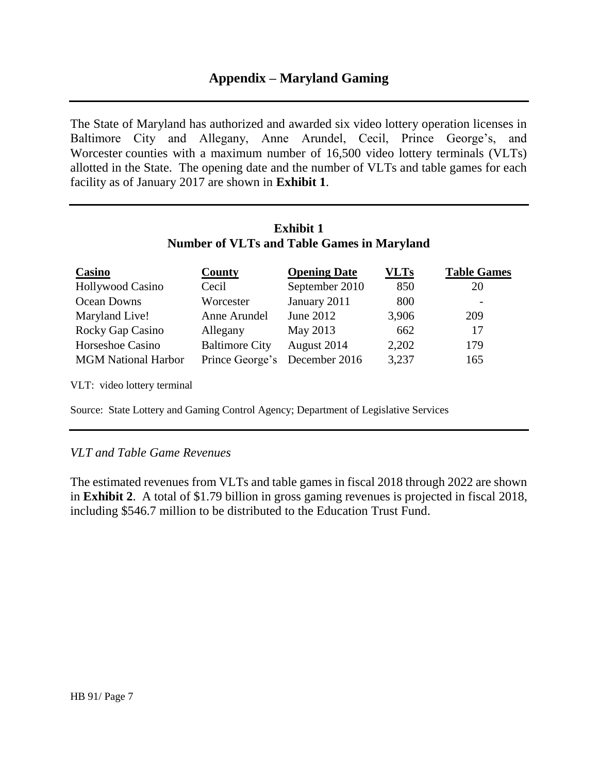### **Appendix – Maryland Gaming**

The State of Maryland has authorized and awarded six video lottery operation licenses in Baltimore City and Allegany, Anne Arundel, Cecil, Prince George's, and Worcester counties with a maximum number of 16,500 video lottery terminals (VLTs) allotted in the State. The opening date and the number of VLTs and table games for each facility as of January 2017 are shown in **Exhibit 1**.

#### **Exhibit 1 Number of VLTs and Table Games in Maryland**

| Casino                     | County                | <b>Opening Date</b> | <b>VLTs</b> | <b>Table Games</b> |
|----------------------------|-----------------------|---------------------|-------------|--------------------|
| <b>Hollywood Casino</b>    | Cecil                 | September 2010      | 850         | 20                 |
| Ocean Downs                | Worcester             | January 2011        | 800         |                    |
| Maryland Live!             | Anne Arundel          | June 2012           | 3,906       | 209                |
| Rocky Gap Casino           | Allegany              | May 2013            | 662         | 17                 |
| Horseshoe Casino           | <b>Baltimore City</b> | August 2014         | 2,202       | 179                |
| <b>MGM National Harbor</b> | Prince George's       | December 2016       | 3,237       | 165                |

VLT: video lottery terminal

Source: State Lottery and Gaming Control Agency; Department of Legislative Services

#### *VLT and Table Game Revenues*

The estimated revenues from VLTs and table games in fiscal 2018 through 2022 are shown in **Exhibit 2**. A total of \$1.79 billion in gross gaming revenues is projected in fiscal 2018, including \$546.7 million to be distributed to the Education Trust Fund.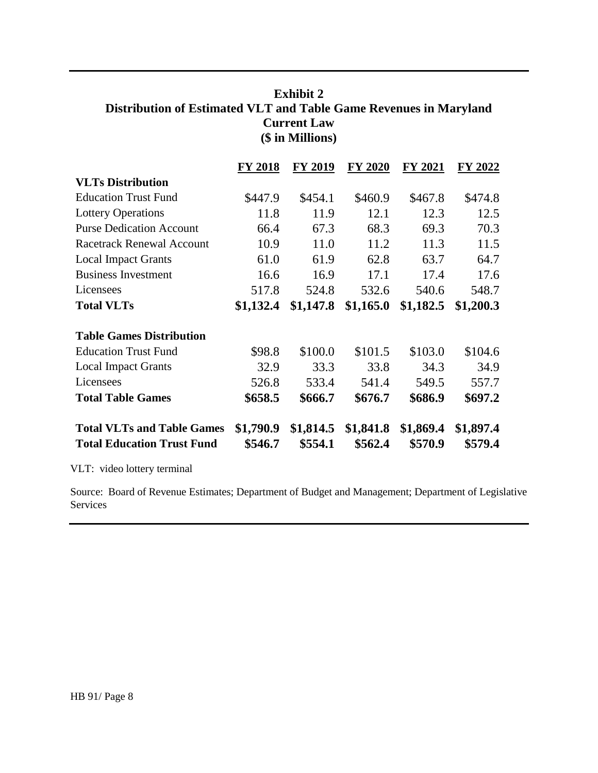### **Exhibit 2 Distribution of Estimated VLT and Table Game Revenues in Maryland Current Law (\$ in Millions)**

|                                   | <b>FY 2018</b> | <b>FY 2019</b> | <b>FY 2020</b> | FY 2021   | FY 2022   |
|-----------------------------------|----------------|----------------|----------------|-----------|-----------|
| <b>VLTs Distribution</b>          |                |                |                |           |           |
| <b>Education Trust Fund</b>       | \$447.9        | \$454.1        | \$460.9        | \$467.8   | \$474.8   |
| <b>Lottery Operations</b>         | 11.8           | 11.9           | 12.1           | 12.3      | 12.5      |
| <b>Purse Dedication Account</b>   | 66.4           | 67.3           | 68.3           | 69.3      | 70.3      |
| <b>Racetrack Renewal Account</b>  | 10.9           | 11.0           | 11.2           | 11.3      | 11.5      |
| <b>Local Impact Grants</b>        | 61.0           | 61.9           | 62.8           | 63.7      | 64.7      |
| <b>Business Investment</b>        | 16.6           | 16.9           | 17.1           | 17.4      | 17.6      |
| Licensees                         | 517.8          | 524.8          | 532.6          | 540.6     | 548.7     |
| <b>Total VLTs</b>                 | \$1,132.4      | \$1,147.8      | \$1,165.0      | \$1,182.5 | \$1,200.3 |
| <b>Table Games Distribution</b>   |                |                |                |           |           |
| <b>Education Trust Fund</b>       | \$98.8         | \$100.0        | \$101.5        | \$103.0   | \$104.6   |
| <b>Local Impact Grants</b>        | 32.9           | 33.3           | 33.8           | 34.3      | 34.9      |
| Licensees                         | 526.8          | 533.4          | 541.4          | 549.5     | 557.7     |
| <b>Total Table Games</b>          | \$658.5        | \$666.7        | \$676.7        | \$686.9   | \$697.2   |
| <b>Total VLTs and Table Games</b> | \$1,790.9      | \$1,814.5      | \$1,841.8      | \$1,869.4 | \$1,897.4 |
| <b>Total Education Trust Fund</b> | \$546.7        | \$554.1        | \$562.4        | \$570.9   | \$579.4   |

VLT: video lottery terminal

Source: Board of Revenue Estimates; Department of Budget and Management; Department of Legislative Services